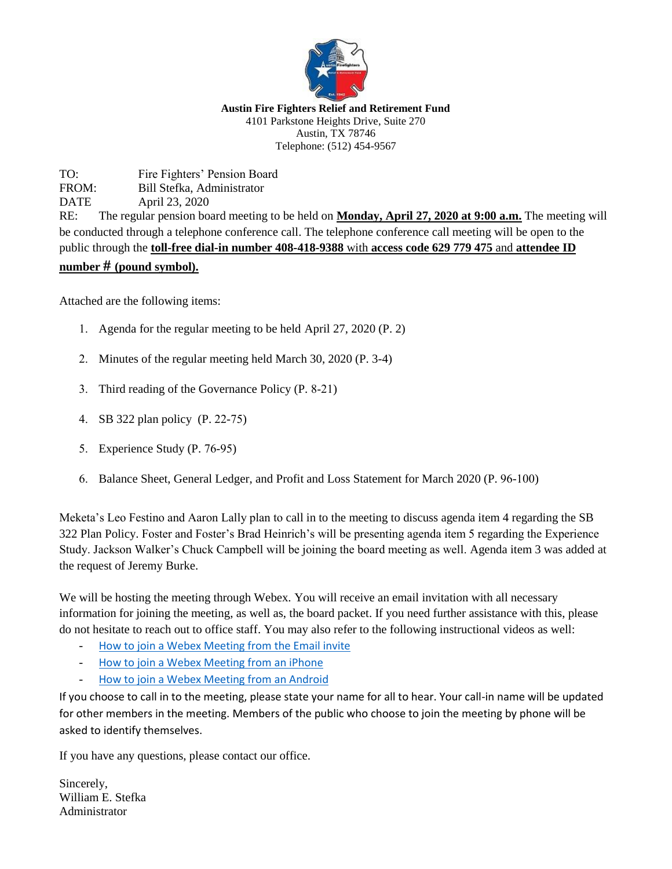

**Austin Fire Fighters Relief and Retirement Fund** 4101 Parkstone Heights Drive, Suite 270 Austin, TX 78746 Telephone: (512) 454-9567

TO: Fire Fighters' Pension Board FROM: Bill Stefka, Administrator DATE April 23, 2020 RE: The regular pension board meeting to be held on **Monday, April 27, 2020 at 9:00 a.m.** The meeting will be conducted through a telephone conference call. The telephone conference call meeting will be open to the public through the **toll-free dial-in number 408-418-9388** with **access code 629 779 475** and **attendee ID number # (pound symbol).**

Attached are the following items:

- 1. Agenda for the regular meeting to be held April 27, 2020 (P. 2)
- 2. Minutes of the regular meeting held March 30, 2020 (P. 3-4)
- 3. Third reading of the Governance Policy (P. 8-21)
- 4. SB 322 plan policy (P. 22-75)
- 5. Experience Study (P. 76-95)
- 6. Balance Sheet, General Ledger, and Profit and Loss Statement for March 2020 (P. 96-100)

Meketa's Leo Festino and Aaron Lally plan to call in to the meeting to discuss agenda item 4 regarding the SB 322 Plan Policy. Foster and Foster's Brad Heinrich's will be presenting agenda item 5 regarding the Experience Study. Jackson Walker's Chuck Campbell will be joining the board meeting as well. Agenda item 3 was added at the request of Jeremy Burke.

We will be hosting the meeting through Webex. You will receive an email invitation with all necessary information for joining the meeting, as well as, the board packet. If you need further assistance with this, please do not hesitate to reach out to office staff. You may also refer to the following instructional videos as well:

- [How to join a Webex Meeting from the Email invite](https://www.youtube.com/watch?v=fE5FnEUKtaE)
- [How to join a Webex Meeting from an iPhone](https://www.youtube.com/watch?v=rbLABQEhYkw)
- [How to join a Webex Meeting from an Android](https://www.youtube.com/watch?v=8jcBswuDaGk)

If you choose to call in to the meeting, please state your name for all to hear. Your call-in name will be updated for other members in the meeting. Members of the public who choose to join the meeting by phone will be asked to identify themselves.

If you have any questions, please contact our office.

Sincerely, William E. Stefka Administrator